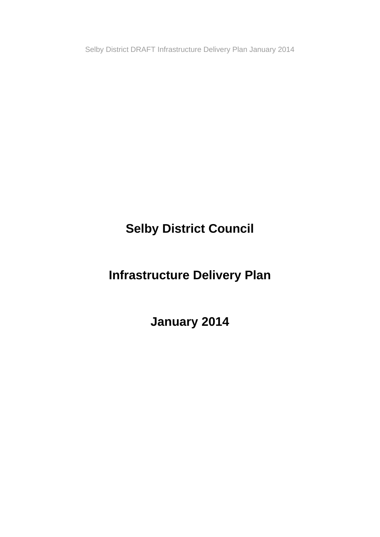**Selby District Council** 

**Infrastructure Delivery Plan** 

**January 2014**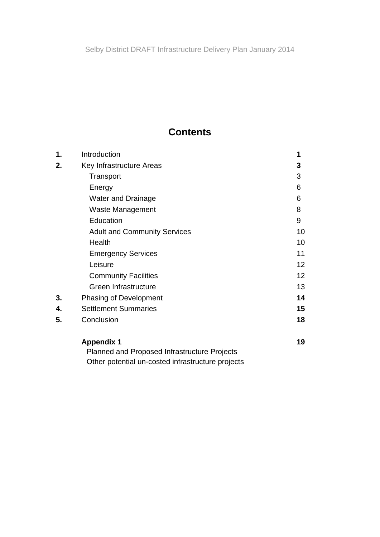# **Contents**

| 1. | Introduction                                 | 1               |
|----|----------------------------------------------|-----------------|
| 2. | Key Infrastructure Areas                     | 3               |
|    | Transport                                    | 3               |
|    | Energy                                       | 6               |
|    | <b>Water and Drainage</b>                    | 6               |
|    | Waste Management                             | 8               |
|    | Education                                    | 9               |
|    | <b>Adult and Community Services</b>          | 10              |
|    | Health                                       | 10              |
|    | <b>Emergency Services</b>                    | 11              |
|    | Leisure                                      | 12 <sub>2</sub> |
|    | <b>Community Facilities</b>                  | 12 <sub>2</sub> |
|    | Green Infrastructure                         | 13              |
| 3. | Phasing of Development                       | 14              |
| 4. | <b>Settlement Summaries</b>                  | 15              |
| 5. | Conclusion                                   | 18              |
|    | <b>Appendix 1</b>                            | 19              |
|    | Planned and Proposed Infrastructure Projects |                 |

Other potential un-costed infrastructure projects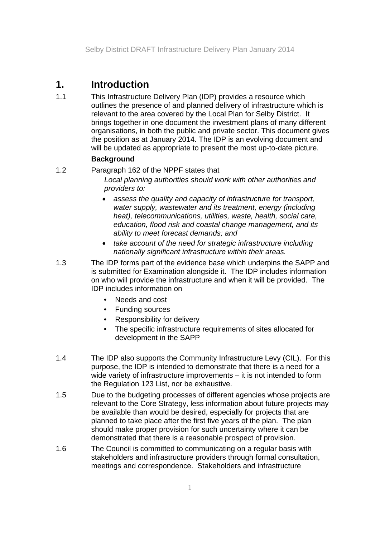# **1. Introduction**

1.1 This Infrastructure Delivery Plan (IDP) provides a resource which outlines the presence of and planned delivery of infrastructure which is relevant to the area covered by the Local Plan for Selby District. It brings together in one document the investment plans of many different organisations, in both the public and private sector. This document gives the position as at January 2014. The IDP is an evolving document and will be updated as appropriate to present the most up-to-date picture.

## **Background**

1.2 Paragraph 162 of the NPPF states that

*Local planning authorities should work with other authorities and providers to:* 

- *assess the quality and capacity of infrastructure for transport, water supply, wastewater and its treatment, energy (including heat), telecommunications, utilities, waste, health, social care, education, flood risk and coastal change management, and its ability to meet forecast demands; and*
- *take account of the need for strategic infrastructure including nationally significant infrastructure within their areas.*
- 1.3 The IDP forms part of the evidence base which underpins the SAPP and is submitted for Examination alongside it. The IDP includes information on who will provide the infrastructure and when it will be provided. The IDP includes information on
	- Needs and cost
	- Funding sources
	- Responsibility for delivery
	- The specific infrastructure requirements of sites allocated for development in the SAPP
- 1.4 The IDP also supports the Community Infrastructure Levy (CIL). For this purpose, the IDP is intended to demonstrate that there is a need for a wide variety of infrastructure improvements – it is not intended to form the Regulation 123 List, nor be exhaustive.
- 1.5 Due to the budgeting processes of different agencies whose projects are relevant to the Core Strategy, less information about future projects may be available than would be desired, especially for projects that are planned to take place after the first five years of the plan. The plan should make proper provision for such uncertainty where it can be demonstrated that there is a reasonable prospect of provision.
- 1.6 The Council is committed to communicating on a regular basis with stakeholders and infrastructure providers through formal consultation, meetings and correspondence. Stakeholders and infrastructure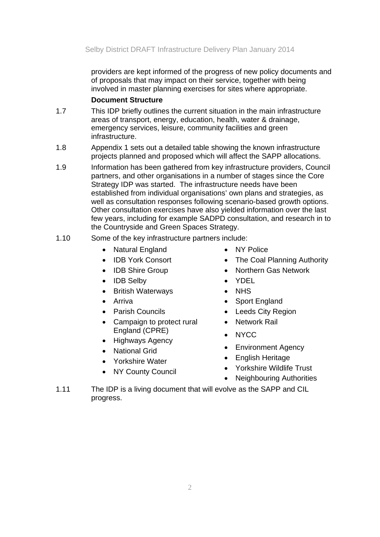providers are kept informed of the progress of new policy documents and of proposals that may impact on their service, together with being involved in master planning exercises for sites where appropriate.

### **Document Structure**

- 1.7 This IDP briefly outlines the current situation in the main infrastructure areas of transport, energy, education, health, water & drainage, emergency services, leisure, community facilities and green infrastructure.
- 1.8 Appendix 1 sets out a detailed table showing the known infrastructure projects planned and proposed which will affect the SAPP allocations.
- 1.9 Information has been gathered from key infrastructure providers, Council partners, and other organisations in a number of stages since the Core Strategy IDP was started. The infrastructure needs have been established from individual organisations' own plans and strategies, as well as consultation responses following scenario-based growth options. Other consultation exercises have also yielded information over the last few years, including for example SADPD consultation, and research in to the Countryside and Green Spaces Strategy.

## 1.10 Some of the key infrastructure partners include:

- Natural England
- IDB York Consort
- IDB Shire Group
- IDB Selby
- British Waterways
- **•** Arriva
- **•** Parish Councils
- Campaign to protect rural England (CPRE)
- Highways Agency
- National Grid
- Yorkshire Water
- NY County Council
- NY Police
- The Coal Planning Authority
- Northern Gas Network
- YDEL
- NHS
- Sport England
- Leeds City Region
- Network Rail
- NYCC
- Environment Agency
- English Heritage
- Yorkshire Wildlife Trust
- Neighbouring Authorities
- 1.11 The IDP is a living document that will evolve as the SAPP and CIL progress.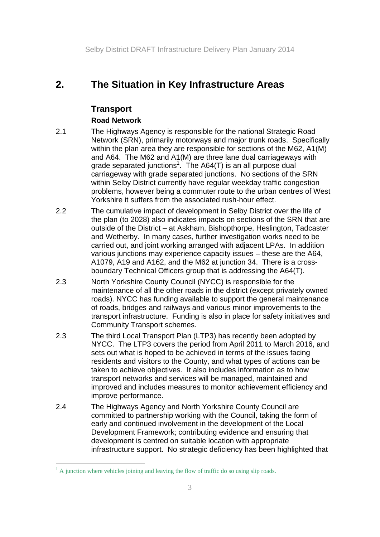# **2. The Situation in Key Infrastructure Areas**

## **Transport**

## **Road Network**

- 2.1 The Highways Agency is responsible for the national Strategic Road Network (SRN), primarily motorways and major trunk roads. Specifically within the plan area they are responsible for sections of the M62, A1(M) and A64. The M62 and A1(M) are three lane dual carriageways with grade separated junctions<sup>1</sup>. The A64(T) is an all purpose dual carriageway with grade separated junctions. No sections of the SRN within Selby District currently have regular weekday traffic congestion problems, however being a commuter route to the urban centres of West Yorkshire it suffers from the associated rush-hour effect.
- 2.2 The cumulative impact of development in Selby District over the life of the plan (to 2028) also indicates impacts on sections of the SRN that are outside of the District – at Askham, Bishopthorpe, Heslington, Tadcaster and Wetherby. In many cases, further investigation works need to be carried out, and joint working arranged with adjacent LPAs. In addition various junctions may experience capacity issues – these are the A64, A1079, A19 and A162, and the M62 at junction 34. There is a crossboundary Technical Officers group that is addressing the A64(T).
- 2.3 North Yorkshire County Council (NYCC) is responsible for the maintenance of all the other roads in the district (except privately owned roads). NYCC has funding available to support the general maintenance of roads, bridges and railways and various minor improvements to the transport infrastructure. Funding is also in place for safety initiatives and Community Transport schemes.
- 2.3 The third Local Transport Plan (LTP3) has recently been adopted by NYCC. The LTP3 covers the period from April 2011 to March 2016, and sets out what is hoped to be achieved in terms of the issues facing residents and visitors to the County, and what types of actions can be taken to achieve objectives. It also includes information as to how transport networks and services will be managed, maintained and improved and includes measures to monitor achievement efficiency and improve performance.
- 2.4 The Highways Agency and North Yorkshire County Council are committed to partnership working with the Council, taking the form of early and continued involvement in the development of the Local Development Framework; contributing evidence and ensuring that development is centred on suitable location with appropriate infrastructure support. No strategic deficiency has been highlighted that

 <sup>1</sup> A junction where vehicles joining and leaving the flow of traffic do so using slip roads.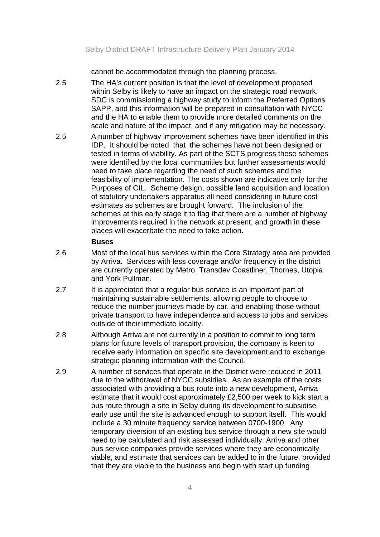cannot be accommodated through the planning process.

- 2.5 The HA's current position is that the level of development proposed within Selby is likely to have an impact on the strategic road network. SDC is commissioning a highway study to inform the Preferred Options SAPP, and this information will be prepared in consultation with NYCC and the HA to enable them to provide more detailed comments on the scale and nature of the impact, and if any mitigation may be necessary.
- 2.5 A number of highway improvement schemes have been identified in this IDP. It should be noted that the schemes have not been designed or tested in terms of viability. As part of the SCTS progress these schemes were identified by the local communities but further assessments would need to take place regarding the need of such schemes and the feasibility of implementation. The costs shown are indicative only for the Purposes of CIL. Scheme design, possible land acquisition and location of statutory undertakers apparatus all need considering in future cost estimates as schemes are brought forward. The inclusion of the schemes at this early stage it to flag that there are a number of highway improvements required in the network at present, and growth in these places will exacerbate the need to take action.

#### **Buses**

- 2.6 Most of the local bus services within the Core Strategy area are provided by Arriva. Services with less coverage and/or frequency in the district are currently operated by Metro, Transdev Coastliner, Thornes, Utopia and York Pullman.
- 2.7 It is appreciated that a regular bus service is an important part of maintaining sustainable settlements, allowing people to choose to reduce the number journeys made by car, and enabling those without private transport to have independence and access to jobs and services outside of their immediate locality.
- 2.8 Although Arriva are not currently in a position to commit to long term plans for future levels of transport provision, the company is keen to receive early information on specific site development and to exchange strategic planning information with the Council.
- 2.9 A number of services that operate in the District were reduced in 2011 due to the withdrawal of NYCC subsidies. As an example of the costs associated with providing a bus route into a new development, Arriva estimate that it would cost approximately £2,500 per week to kick start a bus route through a site in Selby during its development to subsidise early use until the site is advanced enough to support itself. This would include a 30 minute frequency service between 0700-1900. Any temporary diversion of an existing bus service through a new site would need to be calculated and risk assessed individually. Arriva and other bus service companies provide services where they are economically viable, and estimate that services can be added to in the future, provided that they are viable to the business and begin with start up funding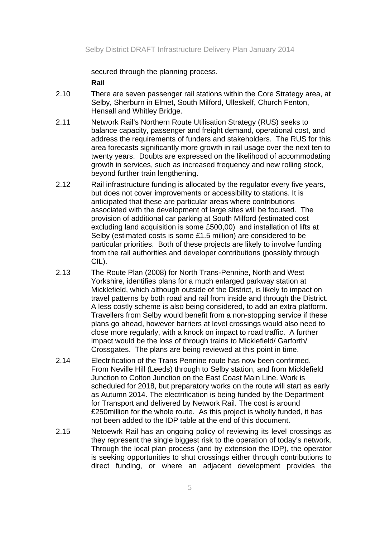secured through the planning process.

 **Rail** 

- 2.10 There are seven passenger rail stations within the Core Strategy area, at Selby, Sherburn in Elmet, South Milford, Ulleskelf, Church Fenton, Hensall and Whitley Bridge.
- 2.11 Network Rail's Northern Route Utilisation Strategy (RUS) seeks to balance capacity, passenger and freight demand, operational cost, and address the requirements of funders and stakeholders. The RUS for this area forecasts significantly more growth in rail usage over the next ten to twenty years. Doubts are expressed on the likelihood of accommodating growth in services, such as increased frequency and new rolling stock, beyond further train lengthening.
- 2.12 Rail infrastructure funding is allocated by the regulator every five years, but does not cover improvements or accessibility to stations. It is anticipated that these are particular areas where contributions associated with the development of large sites will be focused. The provision of additional car parking at South Milford (estimated cost excluding land acquisition is some £500,00) and installation of lifts at Selby (estimated costs is some £1.5 million) are considered to be particular priorities. Both of these projects are likely to involve funding from the rail authorities and developer contributions (possibly through CIL).
- 2.13 The Route Plan (2008) for North Trans-Pennine, North and West Yorkshire, identifies plans for a much enlarged parkway station at Micklefield, which although outside of the District, is likely to impact on travel patterns by both road and rail from inside and through the District. A less costly scheme is also being considered, to add an extra platform. Travellers from Selby would benefit from a non-stopping service if these plans go ahead, however barriers at level crossings would also need to close more regularly, with a knock on impact to road traffic. A further impact would be the loss of through trains to Micklefield/ Garforth/ Crossgates. The plans are being reviewed at this point in time.
- 2.14 Electrification of the Trans Pennine route has now been confirmed. From Neville Hill (Leeds) through to Selby station, and from Micklefield Junction to Colton Junction on the East Coast Main Line. Work is scheduled for 2018, but preparatory works on the route will start as early as Autumn 2014. The electrification is being funded by the Department for Transport and delivered by Network Rail. The cost is around £250million for the whole route. As this project is wholly funded, it has not been added to the IDP table at the end of this document.
- 2.15 Netoewrk Rail has an ongoing policy of reviewing its level crossings as they represent the single biggest risk to the operation of today's network. Through the local plan process (and by extension the IDP), the operator is seeking opportunities to shut crossings either through contributions to direct funding, or where an adjacent development provides the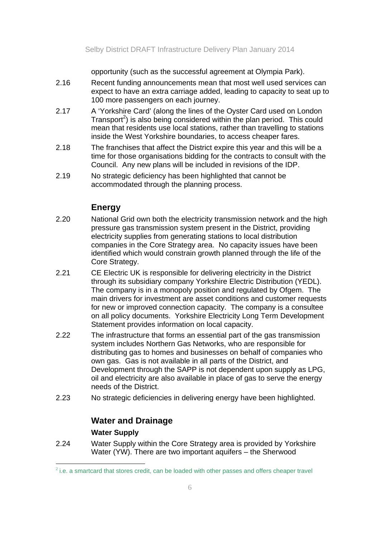opportunity (such as the successful agreement at Olympia Park).

- 2.16 Recent funding announcements mean that most well used services can expect to have an extra carriage added, leading to capacity to seat up to 100 more passengers on each journey.
- 2.17 A 'Yorkshire Card' (along the lines of the Oyster Card used on London Transport<sup>2</sup>) is also being considered within the plan period. This could mean that residents use local stations, rather than travelling to stations inside the West Yorkshire boundaries, to access cheaper fares.
- 2.18 The franchises that affect the District expire this year and this will be a time for those organisations bidding for the contracts to consult with the Council. Any new plans will be included in revisions of the IDP.
- 2.19 No strategic deficiency has been highlighted that cannot be accommodated through the planning process.

## **Energy**

- 2.20 National Grid own both the electricity transmission network and the high pressure gas transmission system present in the District, providing electricity supplies from generating stations to local distribution companies in the Core Strategy area. No capacity issues have been identified which would constrain growth planned through the life of the Core Strategy.
- 2.21 CE Electric UK is responsible for delivering electricity in the District through its subsidiary company Yorkshire Electric Distribution (YEDL). The company is in a monopoly position and regulated by Ofgem. The main drivers for investment are asset conditions and customer requests for new or improved connection capacity. The company is a consultee on all policy documents. Yorkshire Electricity Long Term Development Statement provides information on local capacity.
- 2.22 The infrastructure that forms an essential part of the gas transmission system includes Northern Gas Networks, who are responsible for distributing gas to homes and businesses on behalf of companies who own gas. Gas is not available in all parts of the District, and Development through the SAPP is not dependent upon supply as LPG, oil and electricity are also available in place of gas to serve the energy needs of the District.
- 2.23 No strategic deficiencies in delivering energy have been highlighted.

## **Water and Drainage Water Supply**

2.24 Water Supply within the Core Strategy area is provided by Yorkshire Water (YW). There are two important aquifers – the Sherwood

 $<sup>2</sup>$  i.e. a smartcard that stores credit, can be loaded with other passes and offers cheaper travel</sup>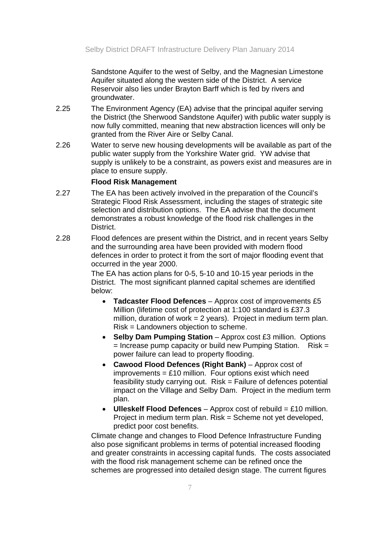Sandstone Aquifer to the west of Selby, and the Magnesian Limestone Aquifer situated along the western side of the District. A service Reservoir also lies under Brayton Barff which is fed by rivers and groundwater.

- 2.25 The Environment Agency (EA) advise that the principal aquifer serving the District (the Sherwood Sandstone Aquifer) with public water supply is now fully committed, meaning that new abstraction licences will only be granted from the River Aire or Selby Canal.
- 2.26 Water to serve new housing developments will be available as part of the public water supply from the Yorkshire Water grid. YW advise that supply is unlikely to be a constraint, as powers exist and measures are in place to ensure supply.

#### **Flood Risk Management**

- 2.27 The EA has been actively involved in the preparation of the Council's Strategic Flood Risk Assessment, including the stages of strategic site selection and distribution options. The EA advise that the document demonstrates a robust knowledge of the flood risk challenges in the District.
- 2.28 Flood defences are present within the District, and in recent years Selby and the surrounding area have been provided with modern flood defences in order to protect it from the sort of major flooding event that occurred in the year 2000.

The EA has action plans for 0-5, 5-10 and 10-15 year periods in the District. The most significant planned capital schemes are identified below:

- **Tadcaster Flood Defences**  Approx cost of improvements £5 Million (lifetime cost of protection at 1:100 standard is £37.3 million, duration of work = 2 years). Project in medium term plan. Risk = Landowners objection to scheme.
- **Selby Dam Pumping Station** Approx cost £3 million. Options  $=$  Increase pump capacity or build new Pumping Station. Risk  $=$ power failure can lead to property flooding.
- **Cawood Flood Defences (Right Bank)** Approx cost of improvements =  $£10$  million. Four options exist which need feasibility study carrying out. Risk = Failure of defences potential impact on the Village and Selby Dam. Project in the medium term plan.
- **Ulleskelf Flood Defences**  Approx cost of rebuild = £10 million. Project in medium term plan. Risk = Scheme not yet developed, predict poor cost benefits.

Climate change and changes to Flood Defence Infrastructure Funding also pose significant problems in terms of potential increased flooding and greater constraints in accessing capital funds. The costs associated with the flood risk management scheme can be refined once the schemes are progressed into detailed design stage. The current figures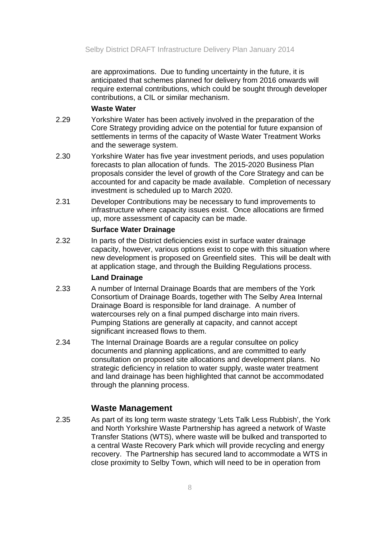are approximations. Due to funding uncertainty in the future, it is anticipated that schemes planned for delivery from 2016 onwards will require external contributions, which could be sought through developer contributions, a CIL or similar mechanism.

### **Waste Water**

- 2.29 Yorkshire Water has been actively involved in the preparation of the Core Strategy providing advice on the potential for future expansion of settlements in terms of the capacity of Waste Water Treatment Works and the sewerage system.
- 2.30 Yorkshire Water has five year investment periods, and uses population forecasts to plan allocation of funds. The 2015-2020 Business Plan proposals consider the level of growth of the Core Strategy and can be accounted for and capacity be made available. Completion of necessary investment is scheduled up to March 2020.
- 2.31 Developer Contributions may be necessary to fund improvements to infrastructure where capacity issues exist. Once allocations are firmed up, more assessment of capacity can be made.

#### **Surface Water Drainage**

2.32 In parts of the District deficiencies exist in surface water drainage capacity, however, various options exist to cope with this situation where new development is proposed on Greenfield sites. This will be dealt with at application stage, and through the Building Regulations process.

### **Land Drainage**

- 2.33 A number of Internal Drainage Boards that are members of the York Consortium of Drainage Boards, together with The Selby Area Internal Drainage Board is responsible for land drainage. A number of watercourses rely on a final pumped discharge into main rivers. Pumping Stations are generally at capacity, and cannot accept significant increased flows to them.
- 2.34 The Internal Drainage Boards are a regular consultee on policy documents and planning applications, and are committed to early consultation on proposed site allocations and development plans. No strategic deficiency in relation to water supply, waste water treatment and land drainage has been highlighted that cannot be accommodated through the planning process.

## **Waste Management**

2.35 As part of its long term waste strategy 'Lets Talk Less Rubbish', the York and North Yorkshire Waste Partnership has agreed a network of Waste Transfer Stations (WTS), where waste will be bulked and transported to a central Waste Recovery Park which will provide recycling and energy recovery. The Partnership has secured land to accommodate a WTS in close proximity to Selby Town, which will need to be in operation from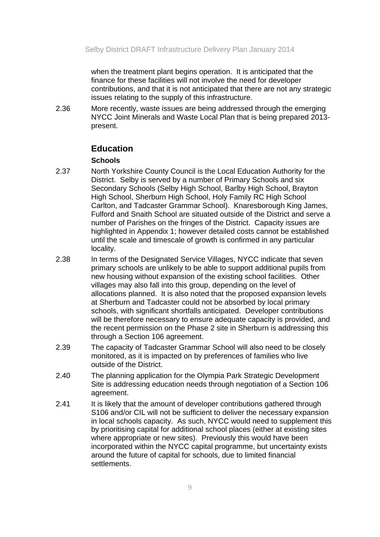when the treatment plant begins operation. It is anticipated that the finance for these facilities will not involve the need for developer contributions, and that it is not anticipated that there are not any strategic issues relating to the supply of this infrastructure.

2.36 More recently, waste issues are being addressed through the emerging NYCC Joint Minerals and Waste Local Plan that is being prepared 2013 present.

### **Education**

#### **Schools**

- 2.37 North Yorkshire County Council is the Local Education Authority for the District. Selby is served by a number of Primary Schools and six Secondary Schools (Selby High School, Barlby High School, Brayton High School, Sherburn High School, Holy Family RC High School Carlton, and Tadcaster Grammar School). Knaresborough King James, Fulford and Snaith School are situated outside of the District and serve a number of Parishes on the fringes of the District. Capacity issues are highlighted in Appendix 1; however detailed costs cannot be established until the scale and timescale of growth is confirmed in any particular locality.
- 2.38 In terms of the Designated Service Villages, NYCC indicate that seven primary schools are unlikely to be able to support additional pupils from new housing without expansion of the existing school facilities. Other villages may also fall into this group, depending on the level of allocations planned. It is also noted that the proposed expansion levels at Sherburn and Tadcaster could not be absorbed by local primary schools, with significant shortfalls anticipated. Developer contributions will be therefore necessary to ensure adequate capacity is provided, and the recent permission on the Phase 2 site in Sherburn is addressing this through a Section 106 agreement.
- 2.39 The capacity of Tadcaster Grammar School will also need to be closely monitored, as it is impacted on by preferences of families who live outside of the District.
- 2.40 The planning application for the Olympia Park Strategic Development Site is addressing education needs through negotiation of a Section 106 agreement.
- 2.41 It is likely that the amount of developer contributions gathered through S106 and/or CIL will not be sufficient to deliver the necessary expansion in local schools capacity. As such, NYCC would need to supplement this by prioritising capital for additional school places (either at existing sites where appropriate or new sites). Previously this would have been incorporated within the NYCC capital programme, but uncertainty exists around the future of capital for schools, due to limited financial settlements.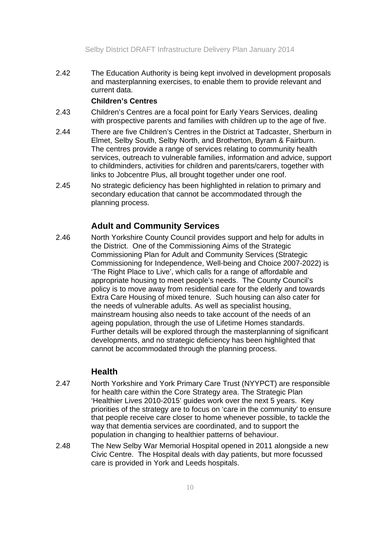2.42 The Education Authority is being kept involved in development proposals and masterplanning exercises, to enable them to provide relevant and current data.

### **Children's Centres**

- 2.43 Children's Centres are a focal point for Early Years Services, dealing with prospective parents and families with children up to the age of five.
- 2.44 There are five Children's Centres in the District at Tadcaster, Sherburn in Elmet, Selby South, Selby North, and Brotherton, Byram & Fairburn. The centres provide a range of services relating to community health services, outreach to vulnerable families, information and advice, support to childminders, activities for children and parents/carers, together with links to Jobcentre Plus, all brought together under one roof.
- 2.45 No strategic deficiency has been highlighted in relation to primary and secondary education that cannot be accommodated through the planning process.

## **Adult and Community Services**

2.46 North Yorkshire County Council provides support and help for adults in the District. One of the Commissioning Aims of the Strategic Commissioning Plan for Adult and Community Services (Strategic Commissioning for Independence, Well-being and Choice 2007-2022) is 'The Right Place to Live', which calls for a range of affordable and appropriate housing to meet people's needs. The County Council's policy is to move away from residential care for the elderly and towards Extra Care Housing of mixed tenure. Such housing can also cater for the needs of vulnerable adults. As well as specialist housing, mainstream housing also needs to take account of the needs of an ageing population, through the use of Lifetime Homes standards. Further details will be explored through the masterplanning of significant developments, and no strategic deficiency has been highlighted that cannot be accommodated through the planning process.

## **Health**

- 2.47 North Yorkshire and York Primary Care Trust (NYYPCT) are responsible for health care within the Core Strategy area. The Strategic Plan 'Healthier Lives 2010-2015' guides work over the next 5 years. Key priorities of the strategy are to focus on 'care in the community' to ensure that people receive care closer to home whenever possible, to tackle the way that dementia services are coordinated, and to support the population in changing to healthier patterns of behaviour.
- 2.48 The New Selby War Memorial Hospital opened in 2011 alongside a new Civic Centre. The Hospital deals with day patients, but more focussed care is provided in York and Leeds hospitals.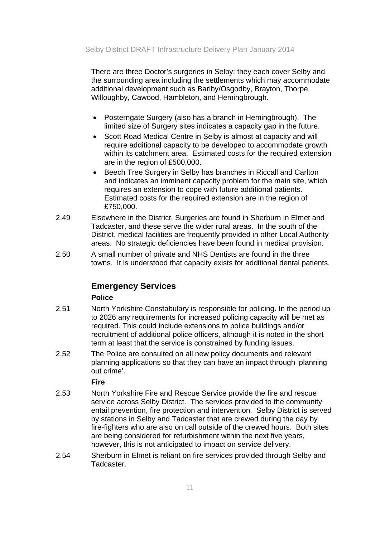There are three Doctor's surgeries in Selby: they each cover Selby and the surrounding area including the settlements which may accommodate additional development such as Barlby/Osgodby, Brayton, Thorpe Willoughby, Cawood, Hambleton, and Hemingbrough.

- Posterngate Surgery (also has a branch in Hemingbrough). The limited size of Surgery sites indicates a capacity gap in the future.
- Scott Road Medical Centre in Selby is almost at capacity and will require additional capacity to be developed to accommodate growth within its catchment area. Estimated costs for the required extension are in the region of £500,000.
- Beech Tree Surgery in Selby has branches in Riccall and Carlton and indicates an imminent capacity problem for the main site, which requires an extension to cope with future additional patients. Estimated costs for the required extension are in the region of £750,000.
- 2.49 Elsewhere in the District, Surgeries are found in Sherburn in Elmet and Tadcaster, and these serve the wider rural areas. In the south of the District, medical facilities are frequently provided in other Local Authority areas. No strategic deficiencies have been found in medical provision.
- 2.50 A small number of private and NHS Dentists are found in the three towns. It is understood that capacity exists for additional dental patients.

## **Emergency Services**

### **Police**

- 2.51 North Yorkshire Constabulary is responsible for policing. In the period up to 2026 any requirements for increased policing capacity will be met as required. This could include extensions to police buildings and/or recruitment of additional police officers, although it is noted in the short term at least that the service is constrained by funding issues.
- 2.52 The Police are consulted on all new policy documents and relevant planning applications so that they can have an impact through 'planning out crime'.

### **Fire**

- 2.53 North Yorkshire Fire and Rescue Service provide the fire and rescue service across Selby District. The services provided to the community entail prevention, fire protection and intervention. Selby District is served by stations in Selby and Tadcaster that are crewed during the day by fire-fighters who are also on call outside of the crewed hours. Both sites are being considered for refurbishment within the next five years, however, this is not anticipated to impact on service delivery.
- 2.54 Sherburn in Elmet is reliant on fire services provided through Selby and Tadcaster.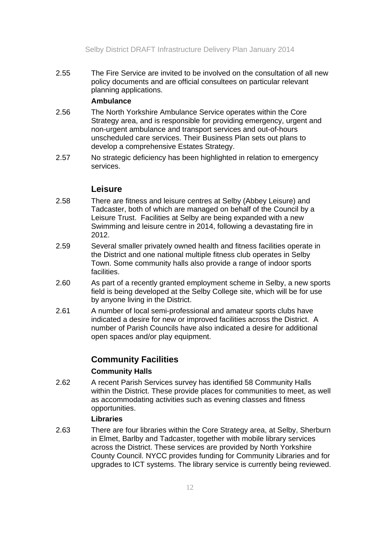2.55 The Fire Service are invited to be involved on the consultation of all new policy documents and are official consultees on particular relevant planning applications.

### **Ambulance**

- 2.56 The North Yorkshire Ambulance Service operates within the Core Strategy area, and is responsible for providing emergency, urgent and non-urgent ambulance and transport services and out-of-hours unscheduled care services. Their Business Plan sets out plans to develop a comprehensive Estates Strategy.
- 2.57 No strategic deficiency has been highlighted in relation to emergency services.

## **Leisure**

- 2.58 There are fitness and leisure centres at Selby (Abbey Leisure) and Tadcaster, both of which are managed on behalf of the Council by a Leisure Trust. Facilities at Selby are being expanded with a new Swimming and leisure centre in 2014, following a devastating fire in 2012.
- 2.59 Several smaller privately owned health and fitness facilities operate in the District and one national multiple fitness club operates in Selby Town. Some community halls also provide a range of indoor sports facilities.
- 2.60 As part of a recently granted employment scheme in Selby, a new sports field is being developed at the Selby College site, which will be for use by anyone living in the District.
- 2.61 A number of local semi-professional and amateur sports clubs have indicated a desire for new or improved facilities across the District. A number of Parish Councils have also indicated a desire for additional open spaces and/or play equipment.

## **Community Facilities**

### **Community Halls**

2.62 A recent Parish Services survey has identified 58 Community Halls within the District. These provide places for communities to meet, as well as accommodating activities such as evening classes and fitness opportunities.

### **Libraries**

2.63 There are four libraries within the Core Strategy area, at Selby, Sherburn in Elmet, Barlby and Tadcaster, together with mobile library services across the District. These services are provided by North Yorkshire County Council. NYCC provides funding for Community Libraries and for upgrades to ICT systems. The library service is currently being reviewed.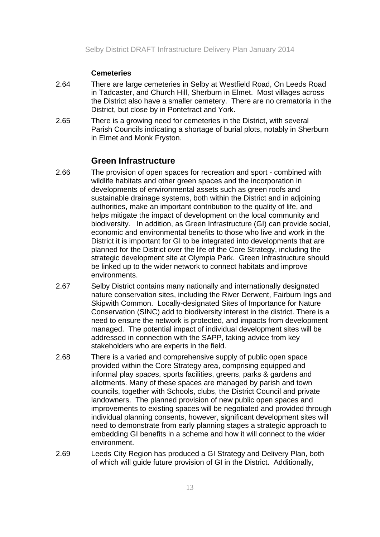### **Cemeteries**

- 2.64 There are large cemeteries in Selby at Westfield Road, On Leeds Road in Tadcaster, and Church Hill, Sherburn in Elmet. Most villages across the District also have a smaller cemetery. There are no crematoria in the District, but close by in Pontefract and York.
- 2.65 There is a growing need for cemeteries in the District, with several Parish Councils indicating a shortage of burial plots, notably in Sherburn in Elmet and Monk Fryston.

### **Green Infrastructure**

- 2.66 The provision of open spaces for recreation and sport combined with wildlife habitats and other green spaces and the incorporation in developments of environmental assets such as green roofs and sustainable drainage systems, both within the District and in adjoining authorities, make an important contribution to the quality of life, and helps mitigate the impact of development on the local community and biodiversity. In addition, as Green Infrastructure (GI) can provide social, economic and environmental benefits to those who live and work in the District it is important for GI to be integrated into developments that are planned for the District over the life of the Core Strategy, including the strategic development site at Olympia Park. Green Infrastructure should be linked up to the wider network to connect habitats and improve environments.
- 2.67 Selby District contains many nationally and internationally designated nature conservation sites, including the River Derwent, Fairburn Ings and Skipwith Common. Locally-designated Sites of Importance for Nature Conservation (SINC) add to biodiversity interest in the district. There is a need to ensure the network is protected, and impacts from development managed. The potential impact of individual development sites will be addressed in connection with the SAPP, taking advice from key stakeholders who are experts in the field.
- 2.68 There is a varied and comprehensive supply of public open space provided within the Core Strategy area, comprising equipped and informal play spaces, sports facilities, greens, parks & gardens and allotments. Many of these spaces are managed by parish and town councils, together with Schools, clubs, the District Council and private landowners. The planned provision of new public open spaces and improvements to existing spaces will be negotiated and provided through individual planning consents, however, significant development sites will need to demonstrate from early planning stages a strategic approach to embedding GI benefits in a scheme and how it will connect to the wider environment.
- 2.69 Leeds City Region has produced a GI Strategy and Delivery Plan, both of which will guide future provision of GI in the District. Additionally,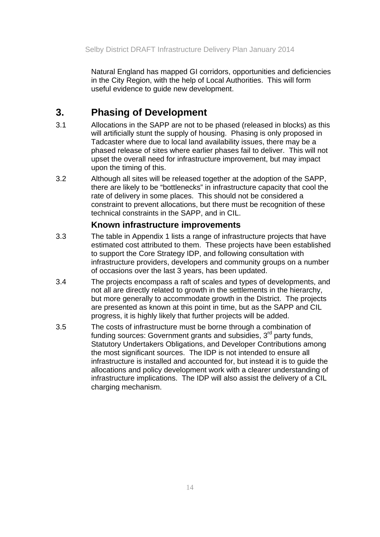Natural England has mapped GI corridors, opportunities and deficiencies in the City Region, with the help of Local Authorities. This will form useful evidence to guide new development.

# **3. Phasing of Development**

- 3.1 Allocations in the SAPP are not to be phased (released in blocks) as this will artificially stunt the supply of housing. Phasing is only proposed in Tadcaster where due to local land availability issues, there may be a phased release of sites where earlier phases fail to deliver. This will not upset the overall need for infrastructure improvement, but may impact upon the timing of this.
- 3.2 Although all sites will be released together at the adoption of the SAPP, there are likely to be "bottlenecks" in infrastructure capacity that cool the rate of delivery in some places. This should not be considered a constraint to prevent allocations, but there must be recognition of these technical constraints in the SAPP, and in CIL.

## **Known infrastructure improvements**

- 3.3 The table in Appendix 1 lists a range of infrastructure projects that have estimated cost attributed to them. These projects have been established to support the Core Strategy IDP, and following consultation with infrastructure providers, developers and community groups on a number of occasions over the last 3 years, has been updated.
- 3.4 The projects encompass a raft of scales and types of developments, and not all are directly related to growth in the settlements in the hierarchy, but more generally to accommodate growth in the District. The projects are presented as known at this point in time, but as the SAPP and CIL progress, it is highly likely that further projects will be added.
- 3.5 The costs of infrastructure must be borne through a combination of funding sources: Government grants and subsidies,  $3<sup>rd</sup>$  party funds, Statutory Undertakers Obligations, and Developer Contributions among the most significant sources. The IDP is not intended to ensure all infrastructure is installed and accounted for, but instead it is to guide the allocations and policy development work with a clearer understanding of infrastructure implications. The IDP will also assist the delivery of a CIL charging mechanism.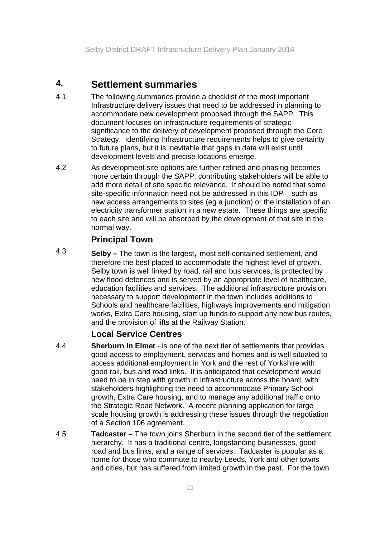## **4. Settlement summaries**

- 4.1 The following summaries provide a checklist of the most important Infrastructure delivery issues that need to be addressed in planning to accommodate new development proposed through the SAPP. This document focuses on infrastructure requirements of strategic significance to the delivery of development proposed through the Core Strategy. Identifying Infrastructure requirements helps to give certainty to future plans, but it is inevitable that gaps in data will exist until development levels and precise locations emerge.
- 4.2 As development site options are further refined and phasing becomes more certain through the SAPP, contributing stakeholders will be able to add more detail of site specific relevance. It should be noted that some site-specific information need not be addressed in this IDP – such as new access arrangements to sites (eg a junction) or the installation of an electricity transformer station in a new estate. These things are specific to each site and will be absorbed by the development of that site in the normal way.

## **Principal Town**

4.3 **Selby –** The town is the largest**,** most self-contained settlement, and therefore the best placed to accommodate the highest level of growth. Selby town is well linked by road, rail and bus services, is protected by new flood defences and is served by an appropriate level of healthcare, education facilities and services. The additional infrastructure provision necessary to support development in the town includes additions to Schools and healthcare facilities, highways improvements and mitigation works, Extra Care housing, start up funds to support any new bus routes, and the provision of lifts at the Railway Station.

## **Local Service Centres**

- 4.4 **Sherburn in Elmet**  is one of the next tier of settlements that provides good access to employment, services and homes and is well situated to access additional employment in York and the rest of Yorkshire with good rail, bus and road links. It is anticipated that development would need to be in step with growth in infrastructure across the board, with stakeholders highlighting the need to accommodate Primary School growth, Extra Care housing, and to manage any additional traffic onto the Strategic Road Network. A recent planning application for large scale housing growth is addressing these issues through the negotiation of a Section 106 agreement.
- 4.5 **Tadcaster** The town joins Sherburn in the second tier of the settlement hierarchy. It has a traditional centre, longstanding businesses, good road and bus links, and a range of services. Tadcaster is popular as a home for those who commute to nearby Leeds, York and other towns and cities, but has suffered from limited growth in the past. For the town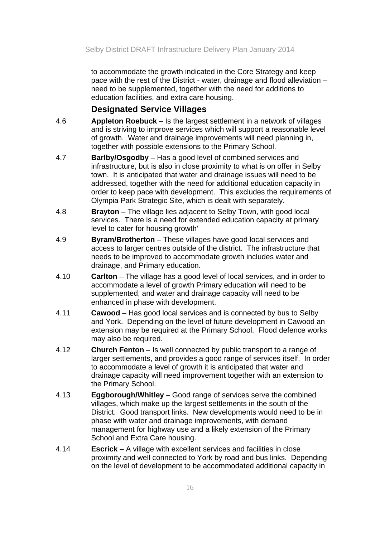to accommodate the growth indicated in the Core Strategy and keep pace with the rest of the District - water, drainage and flood alleviation – need to be supplemented, together with the need for additions to education facilities, and extra care housing.

## **Designated Service Villages**

- 4.6 **Appleton Roebuck** Is the largest settlement in a network of villages and is striving to improve services which will support a reasonable level of growth. Water and drainage improvements will need planning in, together with possible extensions to the Primary School.
- 4.7 **Barlby/Osgodby**  Has a good level of combined services and infrastructure, but is also in close proximity to what is on offer in Selby town. It is anticipated that water and drainage issues will need to be addressed, together with the need for additional education capacity in order to keep pace with development. This excludes the requirements of Olympia Park Strategic Site, which is dealt with separately.
- 4.8 **Brayton**  The village lies adjacent to Selby Town, with good local services. There is a need for extended education capacity at primary level to cater for housing growth'
- 4.9 **Byram/Brotherton** These villages have good local services and access to larger centres outside of the district. The infrastructure that needs to be improved to accommodate growth includes water and drainage, and Primary education.
- 4.10 **Carlton** The village has a good level of local services, and in order to accommodate a level of growth Primary education will need to be supplemented, and water and drainage capacity will need to be enhanced in phase with development.
- 4.11 **Cawood** Has good local services and is connected by bus to Selby and York. Depending on the level of future development in Cawood an extension may be required at the Primary School. Flood defence works may also be required.
- 4.12 **Church Fenton** Is well connected by public transport to a range of larger settlements, and provides a good range of services itself. In order to accommodate a level of growth it is anticipated that water and drainage capacity will need improvement together with an extension to the Primary School.
- 4.13 **Eggborough/Whitley** Good range of services serve the combined villages, which make up the largest settlements in the south of the District. Good transport links. New developments would need to be in phase with water and drainage improvements, with demand management for highway use and a likely extension of the Primary School and Extra Care housing.
- 4.14 **Escrick**  A village with excellent services and facilities in close proximity and well connected to York by road and bus links. Depending on the level of development to be accommodated additional capacity in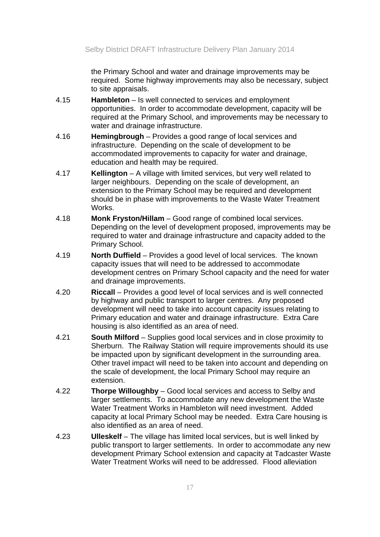the Primary School and water and drainage improvements may be required. Some highway improvements may also be necessary, subject to site appraisals.

- 4.15 **Hambleton**  Is well connected to services and employment opportunities. In order to accommodate development, capacity will be required at the Primary School, and improvements may be necessary to water and drainage infrastructure.
- 4.16 **Hemingbrough** Provides a good range of local services and infrastructure. Depending on the scale of development to be accommodated improvements to capacity for water and drainage, education and health may be required.
- 4.17 **Kellington** A village with limited services, but very well related to larger neighbours. Depending on the scale of development, an extension to the Primary School may be required and development should be in phase with improvements to the Waste Water Treatment Works.
- 4.18 **Monk Fryston/Hillam** Good range of combined local services. Depending on the level of development proposed, improvements may be required to water and drainage infrastructure and capacity added to the Primary School.
- 4.19 **North Duffield** Provides a good level of local services. The known capacity issues that will need to be addressed to accommodate development centres on Primary School capacity and the need for water and drainage improvements.
- 4.20 **Riccall** Provides a good level of local services and is well connected by highway and public transport to larger centres. Any proposed development will need to take into account capacity issues relating to Primary education and water and drainage infrastructure. Extra Care housing is also identified as an area of need.
- 4.21 **South Milford** Supplies good local services and in close proximity to Sherburn. The Railway Station will require improvements should its use be impacted upon by significant development in the surrounding area. Other travel impact will need to be taken into account and depending on the scale of development, the local Primary School may require an extension.
- 4.22 **Thorpe Willoughby** Good local services and access to Selby and larger settlements. To accommodate any new development the Waste Water Treatment Works in Hambleton will need investment. Added capacity at local Primary School may be needed. Extra Care housing is also identified as an area of need.
- 4.23 **Ulleskelf**  The village has limited local services, but is well linked by public transport to larger settlements. In order to accommodate any new development Primary School extension and capacity at Tadcaster Waste Water Treatment Works will need to be addressed. Flood alleviation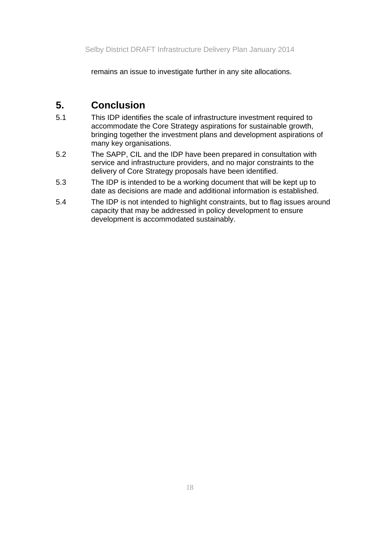remains an issue to investigate further in any site allocations.

# **5. Conclusion**

- 5.1 This IDP identifies the scale of infrastructure investment required to accommodate the Core Strategy aspirations for sustainable growth, bringing together the investment plans and development aspirations of many key organisations.
- 5.2 The SAPP, CIL and the IDP have been prepared in consultation with service and infrastructure providers, and no major constraints to the delivery of Core Strategy proposals have been identified.
- 5.3 The IDP is intended to be a working document that will be kept up to date as decisions are made and additional information is established.
- 5.4 The IDP is not intended to highlight constraints, but to flag issues around capacity that may be addressed in policy development to ensure development is accommodated sustainably.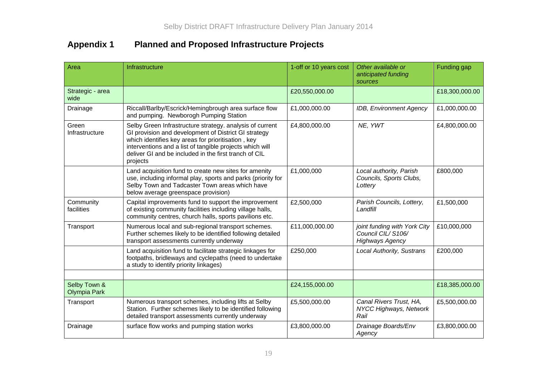# **Appendix 1 Planned and Proposed Infrastructure Projects**

| Area                                | Infrastructure                                                                                                                                                                                                                                                                                          | 1-off or 10 years cost | Other available or<br>anticipated funding<br>sources                        | Funding gap    |
|-------------------------------------|---------------------------------------------------------------------------------------------------------------------------------------------------------------------------------------------------------------------------------------------------------------------------------------------------------|------------------------|-----------------------------------------------------------------------------|----------------|
| Strategic - area<br>wide            |                                                                                                                                                                                                                                                                                                         | £20,550,000.00         |                                                                             | £18,300,000.00 |
| Drainage                            | Riccall/Barlby/Escrick/Hemingbrough area surface flow<br>and pumping. Newborogh Pumping Station                                                                                                                                                                                                         | £1,000,000.00          | IDB, Environment Agency                                                     | £1,000,000.00  |
| Green<br>Infrastructure             | Selby Green Infrastructure strategy. analysis of current<br>GI provision and development of District GI strategy<br>which identifies key areas for prioritisation, key<br>interventions and a list of tangible projects which will<br>deliver GI and be included in the first tranch of CIL<br>projects | £4,800,000.00          | NE, YWT                                                                     | £4,800,000.00  |
|                                     | Land acquisition fund to create new sites for amenity<br>use, including informal play, sports and parks (priority for<br>Selby Town and Tadcaster Town areas which have<br>below average greenspace provision)                                                                                          | £1,000,000             | Local authority, Parish<br>Councils, Sports Clubs,<br>Lottery               | £800,000       |
| Community<br>facilities             | Capital improvements fund to support the improvement<br>of existing community facilities including village halls,<br>community centres, church halls, sports pavilions etc.                                                                                                                             | £2,500,000             | Parish Councils, Lottery,<br>Landfill                                       | £1,500,000     |
| Transport                           | Numerous local and sub-regional transport schemes.<br>Further schemes likely to be identified following detailed<br>transport assessments currently underway                                                                                                                                            | £11,000,000.00         | joint funding with York City<br>Council CIL/S106/<br><b>Highways Agency</b> | £10,000,000    |
|                                     | Land acquisition fund to facilitate strategic linkages for<br>footpaths, bridleways and cyclepaths (need to undertake<br>a study to identify priority linkages)                                                                                                                                         | £250,000               | <b>Local Authority, Sustrans</b>                                            | £200,000       |
| Selby Town &<br><b>Olympia Park</b> |                                                                                                                                                                                                                                                                                                         | £24,155,000.00         |                                                                             | £18,385,000.00 |
| Transport                           | Numerous transport schemes, including lifts at Selby<br>Station. Further schemes likely to be identified following<br>detailed transport assessments currently underway                                                                                                                                 | £5,500,000.00          | Canal Rivers Trust, HA,<br>NYCC Highways, Network<br>Rail                   | £5,500,000.00  |
| Drainage                            | surface flow works and pumping station works                                                                                                                                                                                                                                                            | £3,800,000.00          | Drainage Boards/Env<br>Agency                                               | £3,800,000.00  |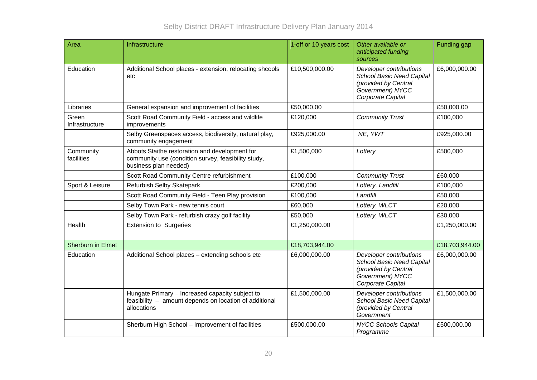| Area                     | Infrastructure                                                                                                                 | 1-off or 10 years cost | Other available or<br>anticipated funding<br>sources                                                                         | Funding gap    |
|--------------------------|--------------------------------------------------------------------------------------------------------------------------------|------------------------|------------------------------------------------------------------------------------------------------------------------------|----------------|
| Education                | Additional School places - extension, relocating shcools<br>etc                                                                | £10,500,000.00         | Developer contributions<br><b>School Basic Need Capital</b><br>(provided by Central<br>Government) NYCC<br>Corporate Capital | £6,000,000.00  |
| Libraries                | General expansion and improvement of facilities                                                                                | £50,000.00             |                                                                                                                              | £50,000.00     |
| Green<br>Infrastructure  | Scott Road Community Field - access and wildlife<br>improvements                                                               | £120,000               | <b>Community Trust</b>                                                                                                       | £100,000       |
|                          | Selby Greenspaces access, biodiversity, natural play,<br>community engagement                                                  | £925,000.00            | NE, YWT                                                                                                                      | £925,000.00    |
| Community<br>facilities  | Abbots Staithe restoration and development for<br>community use (condition survey, feasibility study,<br>business plan needed) | £1,500,000             | Lottery                                                                                                                      | £500,000       |
|                          | Scott Road Community Centre refurbishment                                                                                      | £100,000               | <b>Community Trust</b>                                                                                                       | £60,000        |
| Sport & Leisure          | Refurbish Selby Skatepark                                                                                                      | £200,000               | Lottery, Landfill                                                                                                            | £100,000       |
|                          | Scott Road Community Field - Teen Play provision                                                                               | £100,000               | Landfill                                                                                                                     | £50,000        |
|                          | Selby Town Park - new tennis court                                                                                             | £60,000                | Lottery, WLCT                                                                                                                | £20,000        |
|                          | Selby Town Park - refurbish crazy golf facility                                                                                | £50,000                | Lottery, WLCT                                                                                                                | £30,000        |
| Health                   | <b>Extension to Surgeries</b>                                                                                                  | £1,250,000.00          |                                                                                                                              | £1,250,000.00  |
|                          |                                                                                                                                |                        |                                                                                                                              |                |
| <b>Sherburn in Elmet</b> |                                                                                                                                | £18,703,944.00         |                                                                                                                              | £18,703,944.00 |
| Education                | Additional School places - extending schools etc                                                                               | £6,000,000.00          | Developer contributions<br><b>School Basic Need Capital</b><br>(provided by Central<br>Government) NYCC<br>Corporate Capital | £6,000,000.00  |
|                          | Hungate Primary - Increased capacity subject to<br>feasibility - amount depends on location of additional<br>allocations       | £1,500,000.00          | Developer contributions<br><b>School Basic Need Capital</b><br>(provided by Central<br>Government                            | £1,500,000.00  |
|                          | Sherburn High School - Improvement of facilities                                                                               | £500,000.00            | <b>NYCC Schools Capital</b><br>Programme                                                                                     | £500,000.00    |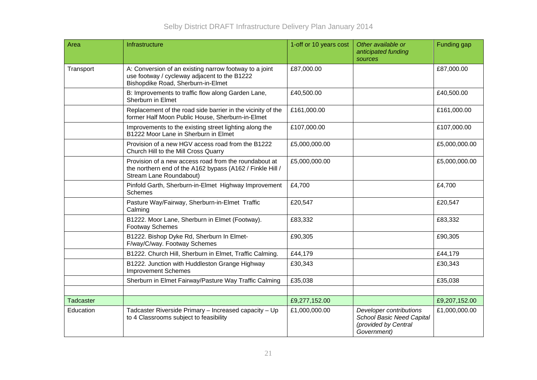| Area      | Infrastructure                                                                                                                                | 1-off or 10 years cost | Other available or<br>anticipated funding<br>sources                                               | Funding gap   |
|-----------|-----------------------------------------------------------------------------------------------------------------------------------------------|------------------------|----------------------------------------------------------------------------------------------------|---------------|
| Transport | A: Conversion of an existing narrow footway to a joint<br>use footway / cycleway adjacent to the B1222<br>Bishopdike Road, Sherburn-in-Elmet  | £87,000.00             |                                                                                                    | £87,000.00    |
|           | B: Improvements to traffic flow along Garden Lane,<br>Sherburn in Elmet                                                                       | £40,500.00             |                                                                                                    | £40,500.00    |
|           | Replacement of the road side barrier in the vicinity of the<br>former Half Moon Public House, Sherburn-in-Elmet                               | £161,000.00            |                                                                                                    | £161,000.00   |
|           | Improvements to the existing street lighting along the<br>B1222 Moor Lane in Sherburn in Elmet                                                | £107,000.00            |                                                                                                    | £107,000.00   |
|           | Provision of a new HGV access road from the B1222<br>Church Hill to the Mill Cross Quarry                                                     | £5,000,000.00          |                                                                                                    | £5,000,000.00 |
|           | Provision of a new access road from the roundabout at<br>the northern end of the A162 bypass (A162 / Finkle Hill /<br>Stream Lane Roundabout) | £5,000,000.00          |                                                                                                    | £5,000,000.00 |
|           | Pinfold Garth, Sherburn-in-Elmet Highway Improvement<br><b>Schemes</b>                                                                        | £4,700                 |                                                                                                    | £4,700        |
|           | Pasture Way/Fairway, Sherburn-in-Elmet Traffic<br>Calming                                                                                     | £20,547                |                                                                                                    | £20,547       |
|           | B1222. Moor Lane, Sherburn in Elmet (Footway).<br><b>Footway Schemes</b>                                                                      | £83,332                |                                                                                                    | £83,332       |
|           | B1222. Bishop Dyke Rd, Sherburn In Elmet-<br>F/way/C/way. Footway Schemes                                                                     | £90,305                |                                                                                                    | £90,305       |
|           | B1222. Church Hill, Sherburn in Elmet, Traffic Calming.                                                                                       | £44,179                |                                                                                                    | £44,179       |
|           | B1222. Junction with Huddleston Grange Highway<br><b>Improvement Schemes</b>                                                                  | £30,343                |                                                                                                    | £30,343       |
|           | Sherburn in Elmet Fairway/Pasture Way Traffic Calming                                                                                         | £35,038                |                                                                                                    | £35,038       |
|           |                                                                                                                                               |                        |                                                                                                    |               |
| Tadcaster |                                                                                                                                               | £9,277,152.00          |                                                                                                    | £9,207,152.00 |
| Education | Tadcaster Riverside Primary - Increased capacity - Up<br>to 4 Classrooms subject to feasibility                                               | £1,000,000.00          | Developer contributions<br><b>School Basic Need Capital</b><br>(provided by Central<br>Government) | £1,000,000.00 |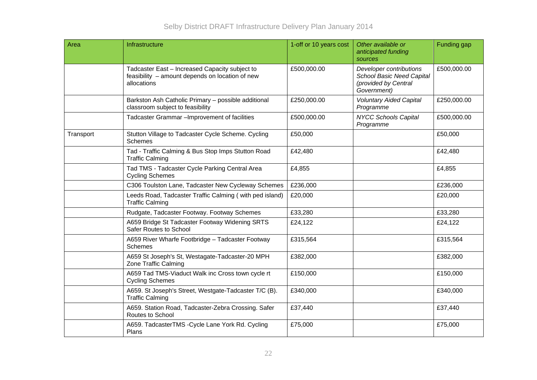| Area      | Infrastructure                                                                                                   | 1-off or 10 years cost | Other available or<br>anticipated funding<br>sources                                               | Funding gap |
|-----------|------------------------------------------------------------------------------------------------------------------|------------------------|----------------------------------------------------------------------------------------------------|-------------|
|           | Tadcaster East - Increased Capacity subject to<br>feasibility - amount depends on location of new<br>allocations | £500,000.00            | Developer contributions<br><b>School Basic Need Capital</b><br>(provided by Central<br>Government) | £500,000.00 |
|           | Barkston Ash Catholic Primary - possible additional<br>classroom subject to feasibility                          | £250,000.00            | <b>Voluntary Aided Capital</b><br>Programme                                                        | £250,000.00 |
|           | Tadcaster Grammar - Improvement of facilities                                                                    | £500,000.00            | <b>NYCC Schools Capital</b><br>Programme                                                           | £500,000.00 |
| Transport | Stutton Village to Tadcaster Cycle Scheme. Cycling<br><b>Schemes</b>                                             | £50,000                |                                                                                                    | £50,000     |
|           | Tad - Traffic Calming & Bus Stop Imps Stutton Road<br><b>Traffic Calming</b>                                     | £42,480                |                                                                                                    | £42,480     |
|           | Tad TMS - Tadcaster Cycle Parking Central Area<br><b>Cycling Schemes</b>                                         | £4,855                 |                                                                                                    | £4,855      |
|           | C306 Toulston Lane, Tadcaster New Cycleway Schemes                                                               | £236,000               |                                                                                                    | £236,000    |
|           | Leeds Road, Tadcaster Traffic Calming (with ped island)<br><b>Traffic Calming</b>                                | £20,000                |                                                                                                    | £20,000     |
|           | Rudgate, Tadcaster Footway. Footway Schemes                                                                      | £33,280                |                                                                                                    | £33,280     |
|           | A659 Bridge St Tadcaster Footway Widening SRTS<br>Safer Routes to School                                         | £24,122                |                                                                                                    | £24,122     |
|           | A659 River Wharfe Footbridge - Tadcaster Footway<br><b>Schemes</b>                                               | £315,564               |                                                                                                    | £315,564    |
|           | A659 St Joseph's St, Westagate-Tadcaster-20 MPH<br>Zone Traffic Calming                                          | £382,000               |                                                                                                    | £382,000    |
|           | A659 Tad TMS-Viaduct Walk inc Cross town cycle rt<br><b>Cycling Schemes</b>                                      | £150,000               |                                                                                                    | £150,000    |
|           | A659. St Joseph's Street, Westgate-Tadcaster T/C (B).<br><b>Traffic Calming</b>                                  | £340,000               |                                                                                                    | £340,000    |
|           | A659. Station Road, Tadcaster-Zebra Crossing. Safer<br>Routes to School                                          | £37,440                |                                                                                                    | £37,440     |
|           | A659. TadcasterTMS - Cycle Lane York Rd. Cycling<br>Plans                                                        | £75,000                |                                                                                                    | £75,000     |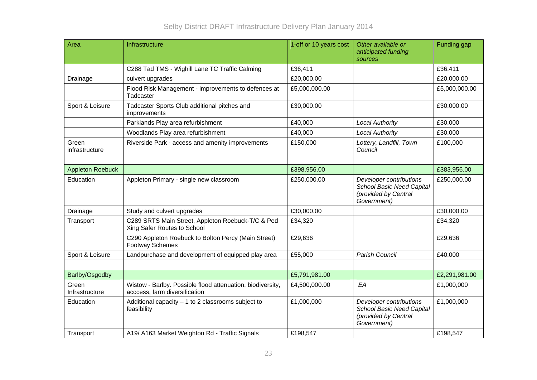| Area                    | Infrastructure                                                                              | 1-off or 10 years cost | Other available or<br>anticipated funding<br>sources                                               | Funding gap   |
|-------------------------|---------------------------------------------------------------------------------------------|------------------------|----------------------------------------------------------------------------------------------------|---------------|
|                         | C288 Tad TMS - Wighill Lane TC Traffic Calming                                              | £36,411                |                                                                                                    | £36,411       |
| Drainage                | culvert upgrades                                                                            | £20,000.00             |                                                                                                    | £20,000.00    |
|                         | Flood Risk Management - improvements to defences at<br>Tadcaster                            | £5,000,000.00          |                                                                                                    | £5,000,000.00 |
| Sport & Leisure         | Tadcaster Sports Club additional pitches and<br>improvements                                | £30,000.00             |                                                                                                    | £30,000.00    |
|                         | Parklands Play area refurbishment                                                           | £40,000                | <b>Local Authority</b>                                                                             | £30,000       |
|                         | Woodlands Play area refurbishment                                                           | £40,000                | <b>Local Authority</b>                                                                             | £30,000       |
| Green<br>infrastructure | Riverside Park - access and amenity improvements                                            | £150,000               | Lottery, Landfill, Town<br>Council                                                                 | £100,000      |
| <b>Appleton Roebuck</b> |                                                                                             | £398,956.00            |                                                                                                    | £383,956.00   |
| Education               | Appleton Primary - single new classroom                                                     | £250,000.00            | Developer contributions<br><b>School Basic Need Capital</b><br>(provided by Central<br>Government) | £250,000.00   |
| Drainage                | Study and culvert upgrades                                                                  | £30,000.00             |                                                                                                    | £30,000.00    |
| Transport               | C289 SRTS Main Street, Appleton Roebuck-T/C & Ped<br>Xing Safer Routes to School            | £34,320                |                                                                                                    | £34,320       |
|                         | C290 Appleton Roebuck to Bolton Percy (Main Street)<br><b>Footway Schemes</b>               | £29,636                |                                                                                                    | £29,636       |
| Sport & Leisure         | Landpurchase and development of equipped play area                                          | £55,000                | Parish Council                                                                                     | £40,000       |
|                         |                                                                                             |                        |                                                                                                    |               |
| Barlby/Osgodby          |                                                                                             | £5,791,981.00          |                                                                                                    | £2,291,981.00 |
| Green<br>Infrastructure | Wistow - Barlby. Possible flood attenuation, biodiversity,<br>acccess, farm diversification | £4,500,000.00          | EA                                                                                                 | £1,000,000    |
| Education               | Additional capacity $-1$ to 2 classrooms subject to<br>feasibility                          | £1,000,000             | Developer contributions<br><b>School Basic Need Capital</b><br>(provided by Central<br>Government) | £1,000,000    |
| Transport               | A19/ A163 Market Weighton Rd - Traffic Signals                                              | £198,547               |                                                                                                    | £198,547      |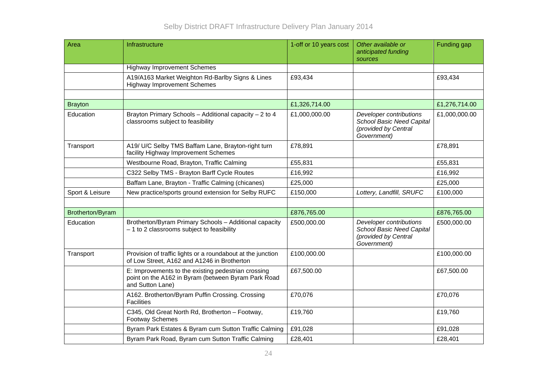| Area             | Infrastructure                                                                                                                 | 1-off or 10 years cost | Other available or<br>anticipated funding<br>sources                                               | Funding gap   |
|------------------|--------------------------------------------------------------------------------------------------------------------------------|------------------------|----------------------------------------------------------------------------------------------------|---------------|
|                  | <b>Highway Improvement Schemes</b>                                                                                             |                        |                                                                                                    |               |
|                  | A19/A163 Market Weighton Rd-Barlby Signs & Lines<br><b>Highway Improvement Schemes</b>                                         | £93,434                |                                                                                                    | £93,434       |
|                  |                                                                                                                                |                        |                                                                                                    |               |
| <b>Brayton</b>   |                                                                                                                                | £1,326,714.00          |                                                                                                    | £1,276,714.00 |
| Education        | Brayton Primary Schools - Additional capacity - 2 to 4<br>classrooms subject to feasibility                                    | £1,000,000.00          | Developer contributions<br><b>School Basic Need Capital</b><br>(provided by Central<br>Government) | £1,000,000.00 |
| Transport        | A19/ U/C Selby TMS Baffam Lane, Brayton-right turn<br>facility Highway Improvement Schemes                                     | £78,891                |                                                                                                    | £78,891       |
|                  | Westbourne Road, Brayton, Traffic Calming                                                                                      | £55,831                |                                                                                                    | £55,831       |
|                  | C322 Selby TMS - Brayton Barff Cycle Routes                                                                                    | £16,992                |                                                                                                    | £16,992       |
|                  | Baffam Lane, Brayton - Traffic Calming (chicanes)                                                                              | £25,000                |                                                                                                    | £25,000       |
| Sport & Leisure  | New practice/sports ground extension for Selby RUFC                                                                            | £150,000               | Lottery, Landfill, SRUFC                                                                           | £100,000      |
|                  |                                                                                                                                |                        |                                                                                                    |               |
| Brotherton/Byram |                                                                                                                                | £876,765.00            |                                                                                                    | £876,765.00   |
| Education        | Brotherton/Byram Primary Schools - Additional capacity<br>$-1$ to 2 classrooms subject to feasibility                          | £500,000.00            | Developer contributions<br><b>School Basic Need Capital</b><br>(provided by Central<br>Government) | £500,000.00   |
| Transport        | Provision of traffic lights or a roundabout at the junction<br>of Low Street, A162 and A1246 in Brotherton                     | £100,000.00            |                                                                                                    | £100,000.00   |
|                  | E: Improvements to the existing pedestrian crossing<br>point on the A162 in Byram (between Byram Park Road<br>and Sutton Lane) | £67,500.00             |                                                                                                    | £67,500.00    |
|                  | A162. Brotherton/Byram Puffin Crossing. Crossing<br><b>Facilities</b>                                                          | £70,076                |                                                                                                    | £70,076       |
|                  | C345, Old Great North Rd, Brotherton - Footway,<br><b>Footway Schemes</b>                                                      | £19,760                |                                                                                                    | £19,760       |
|                  | Byram Park Estates & Byram cum Sutton Traffic Calming                                                                          | £91,028                |                                                                                                    | £91,028       |
|                  | Byram Park Road, Byram cum Sutton Traffic Calming                                                                              | £28,401                |                                                                                                    | £28,401       |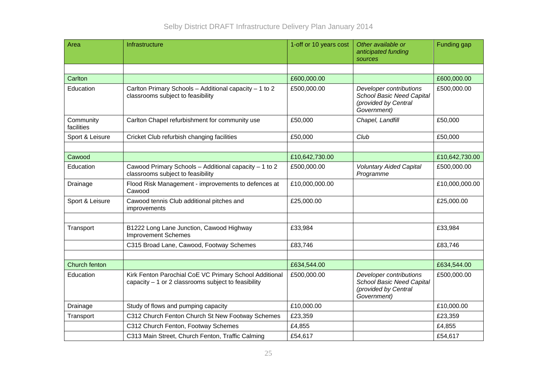| Area                    | Infrastructure                                                                                                 | 1-off or 10 years cost | Other available or<br>anticipated funding<br>sources                                               | Funding gap    |
|-------------------------|----------------------------------------------------------------------------------------------------------------|------------------------|----------------------------------------------------------------------------------------------------|----------------|
|                         |                                                                                                                |                        |                                                                                                    |                |
| Carlton                 |                                                                                                                | £600,000.00            |                                                                                                    | £600,000.00    |
| Education               | Carlton Primary Schools - Additional capacity - 1 to 2<br>classrooms subject to feasibility                    | £500,000.00            | Developer contributions<br><b>School Basic Need Capital</b><br>(provided by Central<br>Government) | £500,000.00    |
| Community<br>facilities | Carlton Chapel refurbishment for community use                                                                 | £50,000                | Chapel, Landfill                                                                                   | £50,000        |
| Sport & Leisure         | Cricket Club refurbish changing facilities                                                                     | £50,000                | Club                                                                                               | £50,000        |
|                         |                                                                                                                |                        |                                                                                                    |                |
| Cawood                  |                                                                                                                | £10,642,730.00         |                                                                                                    | £10,642,730.00 |
| Education               | Cawood Primary Schools - Additional capacity - 1 to 2<br>classrooms subject to feasibility                     | £500,000.00            | <b>Voluntary Aided Capital</b><br>Programme                                                        | £500,000.00    |
| Drainage                | Flood Risk Management - improvements to defences at<br>Cawood                                                  | £10,000,000.00         |                                                                                                    | £10,000,000.00 |
| Sport & Leisure         | Cawood tennis Club additional pitches and<br>improvements                                                      | £25,000.00             |                                                                                                    | £25,000.00     |
| Transport               | B1222 Long Lane Junction, Cawood Highway<br><b>Improvement Schemes</b>                                         | £33,984                |                                                                                                    | £33,984        |
|                         | C315 Broad Lane, Cawood, Footway Schemes                                                                       | £83,746                |                                                                                                    | £83,746        |
|                         |                                                                                                                |                        |                                                                                                    |                |
| Church fenton           |                                                                                                                | £634,544.00            |                                                                                                    | £634,544.00    |
| Education               | Kirk Fenton Parochial CoE VC Primary School Additional<br>capacity $-1$ or 2 classrooms subject to feasibility | £500,000.00            | Developer contributions<br><b>School Basic Need Capital</b><br>(provided by Central<br>Government) | £500,000.00    |
| Drainage                | Study of flows and pumping capacity                                                                            | £10,000.00             |                                                                                                    | £10,000.00     |
| Transport               | C312 Church Fenton Church St New Footway Schemes                                                               | £23,359                |                                                                                                    | £23,359        |
|                         | C312 Church Fenton, Footway Schemes                                                                            | £4,855                 |                                                                                                    | £4,855         |
|                         | C313 Main Street, Church Fenton, Traffic Calming                                                               | £54,617                |                                                                                                    | £54,617        |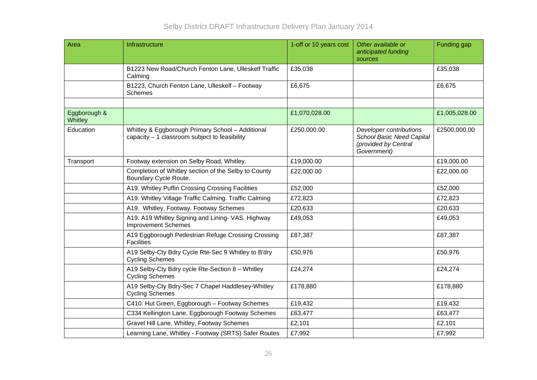| Area                    | Infrastructure                                                                                    | 1-off or 10 years cost | Other available or<br>anticipated funding<br>sources                                               | Funding gap   |
|-------------------------|---------------------------------------------------------------------------------------------------|------------------------|----------------------------------------------------------------------------------------------------|---------------|
|                         | B1223 New Road/Church Fenton Lane, Ulleskelf Traffic<br>Calming                                   | £35,038                |                                                                                                    | £35,038       |
|                         | B1223, Church Fenton Lane, Ulleskelf - Footway<br><b>Schemes</b>                                  | £6,675                 |                                                                                                    | £6,675        |
|                         |                                                                                                   |                        |                                                                                                    |               |
| Eggborough &<br>Whitley |                                                                                                   | £1,070,028.00          |                                                                                                    | £1,005,028.00 |
| Education               | Whitley & Eggborough Primary School - Additional<br>capacity - 1 classroom subject to feasibility | £250,000.00            | Developer contributions<br><b>School Basic Need Capital</b><br>(provided by Central<br>Government) | £2500,000.00  |
| Transport               | Footway extension on Selby Road, Whitley.                                                         | £19,000.00             |                                                                                                    | £19,000.00    |
|                         | Completion of Whitley section of the Selby to County<br>Boundary Cycle Route.                     | £22,000.00             |                                                                                                    | £22,000.00    |
|                         | A19. Whitley Puffin Crossing Crossing Facilities                                                  | £52,000                |                                                                                                    | £52,000       |
|                         | A19. Whitley Village Traffic Calming. Traffic Calming                                             | £72,823                |                                                                                                    | £72,823       |
|                         | A19. Whitley, Footway. Footway Schemes                                                            | £20,633                |                                                                                                    | £20,633       |
|                         | A19. A19 Whitley Signing and Lining- VAS. Highway<br><b>Improvement Schemes</b>                   | £49,053                |                                                                                                    | £49,053       |
|                         | A19 Eggborough Pedestrian Refuge Crossing Crossing<br><b>Facilities</b>                           | £87,387                |                                                                                                    | £87,387       |
|                         | A19 Selby-Cty Bdry Cycle Rte-Sec 9 Whitley to B'dry<br><b>Cycling Schemes</b>                     | £50,976                |                                                                                                    | £50,976       |
|                         | A19 Selby-Cty Bdry cycle Rte-Section 8 - Whitley<br><b>Cycling Schemes</b>                        | £24,274                |                                                                                                    | £24,274       |
|                         | A19 Selby-Cty Bdry-Sec 7 Chapel Haddlesey-Whitley<br><b>Cycling Schemes</b>                       | £178,880               |                                                                                                    | £178,880      |
|                         | C410. Hut Green, Eggborough - Footway Schemes                                                     | £19,432                |                                                                                                    | £19,432       |
|                         | C334 Kellington Lane, Eggborough Footway Schemes                                                  | £63,477                |                                                                                                    | £63,477       |
|                         | Gravel Hill Lane, Whitley, Footway Schemes                                                        | £2,101                 |                                                                                                    | £2,101        |
|                         | Learning Lane, Whitley - Footway (SRTS) Safer Routes                                              | £7,992                 |                                                                                                    | £7,992        |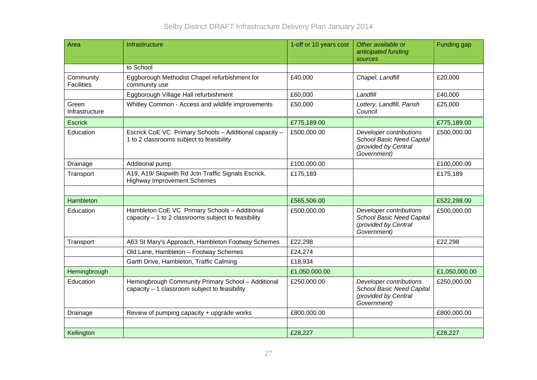| Area                           | Infrastructure                                                                                        | 1-off or 10 years cost | Other available or<br>anticipated funding<br>sources                                               | Funding gap   |
|--------------------------------|-------------------------------------------------------------------------------------------------------|------------------------|----------------------------------------------------------------------------------------------------|---------------|
|                                | to School                                                                                             |                        |                                                                                                    |               |
| Community<br><b>Facilities</b> | Eggborough Methodist Chapel refurbishment for<br>community use                                        | £40,000                | Chapel, Landfill                                                                                   | £20,000       |
|                                | Eggborough Village Hall refurbishment                                                                 | £60,000                | Landfill                                                                                           | £40,000       |
| Green<br>Infrastructure        | Whitley Common - Access and wildlife improvements                                                     | £50,000                | Lottery, Landfill, Parish<br>Council                                                               | £25,000       |
| <b>Escrick</b>                 |                                                                                                       | £775,189.00            |                                                                                                    | £775,189.00   |
| Education                      | Escrick CoE VC Primary Schools - Additional capacity -<br>1 to 2 classrooms subject to feasibility    | £500,000.00            | Developer contributions<br>School Basic Need Capital<br>(provided by Central<br>Government)        | £500,000.00   |
| Drainage                       | Additional pump                                                                                       | £100,000.00            |                                                                                                    | £100,000.00   |
| Transport                      | A19, A19/ Skipwith Rd Jctn Traffic Signals Escrick.<br><b>Highway Improvement Schemes</b>             | £175,189               |                                                                                                    | £175,189      |
|                                |                                                                                                       |                        |                                                                                                    |               |
| Hambleton                      |                                                                                                       | £565,506.00            |                                                                                                    | £522,298.00   |
| Education                      | Hambleton CoE VC Primary Schools - Additional<br>capacity $-1$ to 2 classrooms subject to feasibility | £500,000.00            | Developer contributions<br>School Basic Need Capital<br>(provided by Central<br>Government)        | £500,000.00   |
| Transport                      | A63 St Mary's Approach, Hambleton Footway Schemes                                                     | £22,298                |                                                                                                    | £22,298       |
|                                | Old Lane, Hambleton - Footway Schemes                                                                 | £24,274                |                                                                                                    |               |
|                                | Garth Drive, Hambleton, Traffic Calming                                                               | £18,934                |                                                                                                    |               |
| Hemingbrough                   |                                                                                                       | £1,050,000.00          |                                                                                                    | £1,050,000.00 |
| Education                      | Hemingbrough Community Primary School - Additional<br>capacity - 1 classroom subject to feasibility   | £250,000.00            | Developer contributions<br><b>School Basic Need Capital</b><br>(provided by Central<br>Government) | £250,000.00   |
| Drainage                       | Review of pumping capacity + upgrade works                                                            | £800,000.00            |                                                                                                    | £800,000.00   |
|                                |                                                                                                       |                        |                                                                                                    |               |
| Kellington                     |                                                                                                       | £28,227                |                                                                                                    | £28,227       |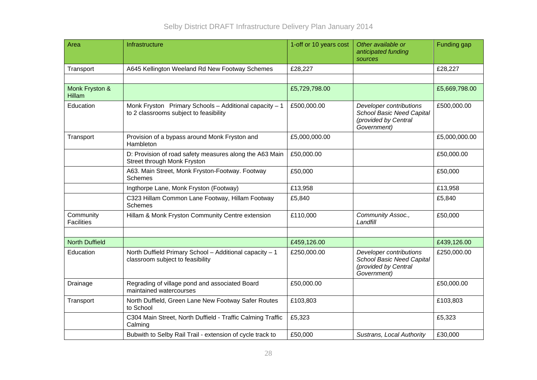| Area                            | Infrastructure                                                                                   | 1-off or 10 years cost | Other available or<br>anticipated funding<br>sources                                               | Funding gap   |
|---------------------------------|--------------------------------------------------------------------------------------------------|------------------------|----------------------------------------------------------------------------------------------------|---------------|
| Transport                       | A645 Kellington Weeland Rd New Footway Schemes                                                   | £28,227                |                                                                                                    | £28,227       |
|                                 |                                                                                                  |                        |                                                                                                    |               |
| Monk Fryston &<br><b>Hillam</b> |                                                                                                  | £5,729,798.00          |                                                                                                    | £5,669,798.00 |
| Education                       | Monk Fryston Primary Schools - Additional capacity - 1<br>to 2 classrooms subject to feasibility | £500,000.00            | Developer contributions<br><b>School Basic Need Capital</b><br>(provided by Central<br>Government) | £500,000.00   |
| Transport                       | Provision of a bypass around Monk Fryston and<br>Hambleton                                       | £5,000,000.00          |                                                                                                    | £5,000,000.00 |
|                                 | D: Provision of road safety measures along the A63 Main<br>Street through Monk Fryston           | £50,000.00             |                                                                                                    | £50,000.00    |
|                                 | A63. Main Street, Monk Fryston-Footway. Footway<br><b>Schemes</b>                                | £50,000                |                                                                                                    | £50,000       |
|                                 | Ingthorpe Lane, Monk Fryston (Footway)                                                           | £13,958                |                                                                                                    | £13,958       |
|                                 | C323 Hillam Common Lane Footway, Hillam Footway<br>Schemes                                       | £5,840                 |                                                                                                    | £5,840        |
| Community<br><b>Facilities</b>  | Hillam & Monk Fryston Community Centre extension                                                 | £110,000               | Community Assoc.,<br>Landfill                                                                      | £50,000       |
|                                 |                                                                                                  |                        |                                                                                                    |               |
| <b>North Duffield</b>           |                                                                                                  | £459,126.00            |                                                                                                    | £439,126.00   |
| Education                       | North Duffield Primary School - Additional capacity - 1<br>classroom subject to feasibility      | £250,000.00            | Developer contributions<br>School Basic Need Capital<br>(provided by Central<br>Government)        | £250,000.00   |
| Drainage                        | Regrading of village pond and associated Board<br>maintained watercourses                        | £50,000.00             |                                                                                                    | £50,000.00    |
| Transport                       | North Duffield, Green Lane New Footway Safer Routes<br>to School                                 | £103,803               |                                                                                                    | £103,803      |
|                                 | C304 Main Street, North Duffield - Traffic Calming Traffic<br>Calming                            | £5,323                 |                                                                                                    | £5,323        |
|                                 | Bubwith to Selby Rail Trail - extension of cycle track to                                        | £50,000                | Sustrans, Local Authority                                                                          | £30,000       |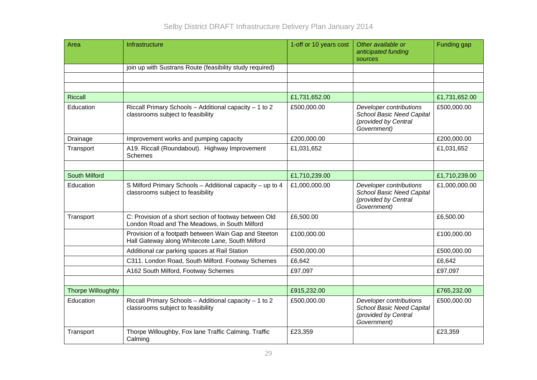| Area                     | Infrastructure                                                                                           | 1-off or 10 years cost | Other available or<br>anticipated funding<br>sources                                               | Funding gap   |
|--------------------------|----------------------------------------------------------------------------------------------------------|------------------------|----------------------------------------------------------------------------------------------------|---------------|
|                          | join up with Sustrans Route (feasibility study required)                                                 |                        |                                                                                                    |               |
|                          |                                                                                                          |                        |                                                                                                    |               |
|                          |                                                                                                          |                        |                                                                                                    |               |
| <b>Riccall</b>           |                                                                                                          | £1,731,652.00          |                                                                                                    | £1,731,652.00 |
| Education                | Riccall Primary Schools - Additional capacity - 1 to 2<br>classrooms subject to feasibility              | £500,000.00            | Developer contributions<br>School Basic Need Capital<br>(provided by Central<br>Government)        | £500,000.00   |
| Drainage                 | Improvement works and pumping capacity                                                                   | £200,000.00            |                                                                                                    | £200,000.00   |
| Transport                | A19. Riccall (Roundabout). Highway Improvement<br>Schemes                                                | £1,031,652             |                                                                                                    | £1,031,652    |
|                          |                                                                                                          |                        |                                                                                                    |               |
| <b>South Milford</b>     |                                                                                                          | £1,710,239.00          |                                                                                                    | £1,710,239.00 |
| Education                | S Milford Primary Schools - Additional capacity - up to 4<br>classrooms subject to feasibility           | £1,000,000.00          | Developer contributions<br><b>School Basic Need Capital</b><br>(provided by Central<br>Government) | £1,000,000.00 |
| Transport                | C: Provision of a short section of footway between Old<br>London Road and The Meadows, in South Milford  | £6,500.00              |                                                                                                    | £6,500.00     |
|                          | Provision of a footpath between Wain Gap and Steeton<br>Hall Gateway along Whitecote Lane, South Milford | £100,000.00            |                                                                                                    | £100,000.00   |
|                          | Additional car parking spaces at Rail Station                                                            | £500,000.00            |                                                                                                    | £500,000.00   |
|                          | C311. London Road, South Milford. Footway Schemes                                                        | £6,642                 |                                                                                                    | £6,642        |
|                          | A162 South Milford, Footway Schemes                                                                      | £97,097                |                                                                                                    | £97,097       |
|                          |                                                                                                          |                        |                                                                                                    |               |
| <b>Thorpe Willoughby</b> |                                                                                                          | £915,232.00            |                                                                                                    | £765,232.00   |
| Education                | Riccall Primary Schools - Additional capacity - 1 to 2<br>classrooms subject to feasibility              | £500,000.00            | Developer contributions<br><b>School Basic Need Capital</b><br>(provided by Central<br>Government) | £500,000.00   |
| Transport                | Thorpe Willoughby, Fox lane Traffic Calming. Traffic<br>Calming                                          | £23,359                |                                                                                                    | £23,359       |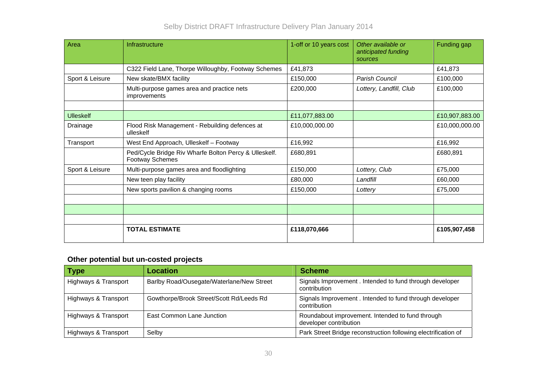| Area             | Infrastructure                                                                  | 1-off or 10 years cost | Other available or<br>anticipated funding<br>sources | Funding gap    |
|------------------|---------------------------------------------------------------------------------|------------------------|------------------------------------------------------|----------------|
|                  | C322 Field Lane, Thorpe Willoughby, Footway Schemes                             | £41,873                |                                                      | £41,873        |
| Sport & Leisure  | New skate/BMX facility                                                          | £150,000               | Parish Council                                       | £100,000       |
|                  | Multi-purpose games area and practice nets<br>improvements                      | £200,000               | Lottery, Landfill, Club                              | £100,000       |
|                  |                                                                                 |                        |                                                      |                |
| <b>Ulleskelf</b> |                                                                                 | £11,077,883.00         |                                                      | £10,907,883.00 |
| Drainage         | Flood Risk Management - Rebuilding defences at<br>ulleskelf                     | £10,000,000.00         |                                                      | £10,000,000.00 |
| Transport        | West End Approach, Ulleskelf - Footway                                          | £16,992                |                                                      | £16,992        |
|                  | Ped/Cycle Bridge Riv Wharfe Bolton Percy & Ulleskelf.<br><b>Footway Schemes</b> | £680,891               |                                                      | £680,891       |
| Sport & Leisure  | Multi-purpose games area and floodlighting                                      | £150,000               | Lottery, Club                                        | £75,000        |
|                  | New teen play facility                                                          | £80,000                | Landfill                                             | £60,000        |
|                  | New sports pavilion & changing rooms                                            | £150,000               | Lottery                                              | £75,000        |
|                  |                                                                                 |                        |                                                      |                |
|                  |                                                                                 |                        |                                                      |                |
|                  |                                                                                 |                        |                                                      |                |
|                  | <b>TOTAL ESTIMATE</b>                                                           | £118,070,666           |                                                      | £105,907,458   |

# **Other potential but un-costed projects**

| <b>Type</b>          | <b>Location</b>                           | <b>Scheme</b>                                                              |
|----------------------|-------------------------------------------|----------------------------------------------------------------------------|
| Highways & Transport | Barlby Road/Ousegate/Waterlane/New Street | Signals Improvement . Intended to fund through developer<br>contribution   |
| Highways & Transport | Gowthorpe/Brook Street/Scott Rd/Leeds Rd  | Signals Improvement . Intended to fund through developer<br>contribution   |
| Highways & Transport | East Common Lane Junction                 | Roundabout improvement. Intended to fund through<br>developer contribution |
| Highways & Transport | Selby                                     | Park Street Bridge reconstruction following electrification of             |